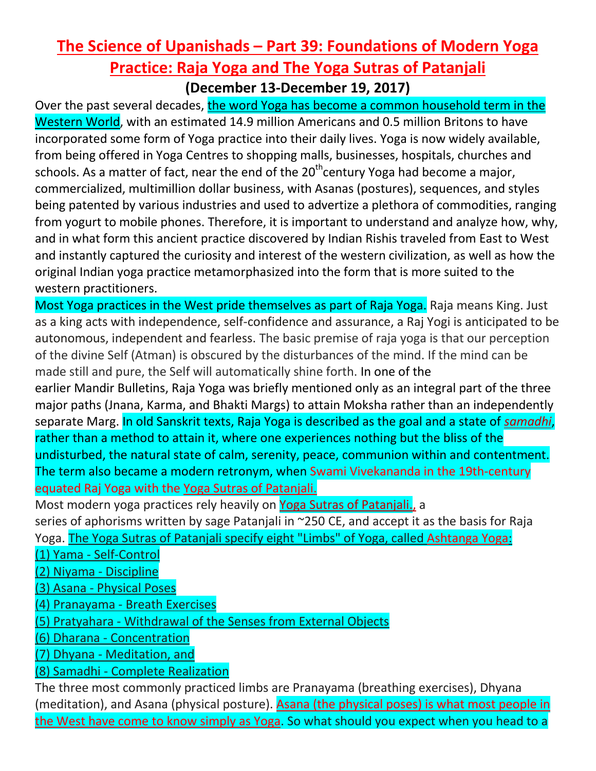## **The Science of Upanishads – Part 39: Foundations of Modern Yoga Practice: Raja Yoga and The Yoga Sutras of Patanjali**

**(December 13-December 19, 2017)**

Over the past several decades, the word Yoga has become a common household term in the Western World, with an estimated 14.9 million Americans and 0.5 million Britons to have incorporated some form of Yoga practice into their daily lives. Yoga is now widely available, from being offered in Yoga Centres to shopping malls, businesses, hospitals, churches and schools. As a matter of fact, near the end of the  $20<sup>th</sup>$ century Yoga had become a major, commercialized, multimillion dollar business, with Asanas (postures), sequences, and styles being patented by various industries and used to advertize a plethora of commodities, ranging from yogurt to mobile phones. Therefore, it is important to understand and analyze how, why, and in what form this ancient practice discovered by Indian Rishis traveled from East to West and instantly captured the curiosity and interest of the western civilization, as well as how the original Indian yoga practice metamorphasized into the form that is more suited to the western practitioners.

Most Yoga practices in the West pride themselves as part of Raja Yoga. Raja means King. Just as a king acts with independence, self-confidence and assurance, a Raj Yogi is anticipated to be autonomous, independent and fearless. The basic premise of raja yoga is that our perception of the divine Self (Atman) is obscured by the disturbances of the mind. If the mind can be made still and pure, the Self will automatically shine forth. In one of the earlier Mandir Bulletins, Raja Yoga was briefly mentioned only as an integral part of the three major paths (Jnana, Karma, and Bhakti Margs) to attain Moksha rather than an independently separate Marg. In old Sanskrit texts, Raja Yoga is described as the goal and a state of *samadhi*, rather than a method to attain it, where one experiences nothing but the bliss of the undisturbed, the natural state of calm, serenity, peace, communion within and contentment. The term also became a modern retronym, when Swami Vivekananda in the 19th-century equated Raj Yoga with the Yoga Sutras of Patanjali.

Most modern yoga practices rely heavily on Yoga Sutras of Patanjali., a series of aphorisms written by sage Patanjali in ~250 CE, and accept it as the basis for Raja Yoga. The Yoga Sutras of Patanjali specify eight "Limbs" of Yoga, called Ashtanga Yoga:

(1) Yama - Self-Control

(2) Niyama - Discipline

(3) Asana - Physical Poses

(4) Pranayama - Breath Exercises

(5) Pratyahara - Withdrawal of the Senses from External Objects

(6) Dharana - Concentration

(7) Dhyana - Meditation, and

(8) Samadhi - Complete Realization

The three most commonly practiced limbs are Pranayama (breathing exercises), Dhyana (meditation), and Asana (physical posture). **Asana (the physical poses) is what most people in** the West have come to know simply as Yoga. So what should you expect when you head to a